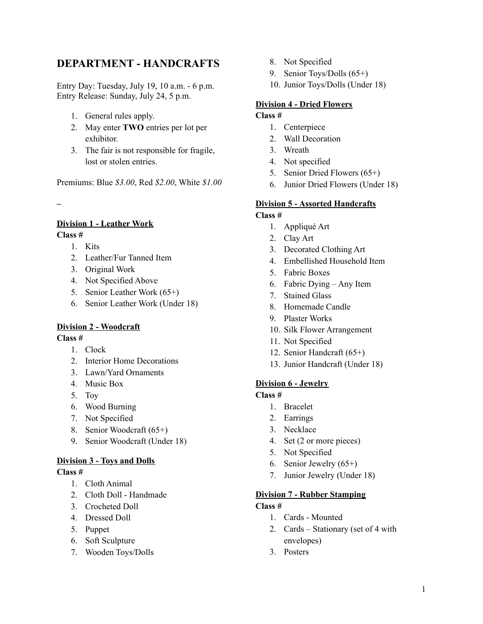## **DEPARTMENT - HANDCRAFTS**

Entry Day: Tuesday, July 19, 10 a.m. - 6 p.m. Entry Release: Sunday, July 24, 5 p.m.

- 1. General rules apply.
- 2. May enter **TWO** entries per lot per exhibitor.
- 3. The fair is not responsible for fragile, lost or stolen entries.

Premiums: Blue *\$3.00*, Red *\$2.00*, White *\$1.00*

**–**

#### **Division 1 - Leather Work Class #**

1. Kits

- 2. Leather/Fur Tanned Item
- 3. Original Work
- 4. Not Specified Above
- 5. Senior Leather Work (65+)
- 6. Senior Leather Work (Under 18)

## **Division 2 - Woodcraft**

**Class #**

- 1. Clock
- 2. Interior Home Decorations
- 3. Lawn/Yard Ornaments
- 4. Music Box
- 5. Toy
- 6. Wood Burning
- 7. Not Specified
- 8. Senior Woodcraft (65+)
- 9. Senior Woodcraft (Under 18)

#### **Division 3 - Toys and Dolls**

#### **Class #**

- 1. Cloth Animal
- 2. Cloth Doll Handmade
- 3. Crocheted Doll
- 4. Dressed Doll
- 5. Puppet
- 6. Soft Sculpture
- 7. Wooden Toys/Dolls
- 8. Not Specified
- 9. Senior Toys/Dolls (65+)
- 10. Junior Toys/Dolls (Under 18)

## **Division 4 - Dried Flowers**

## **Class #**

- 1. Centerpiece
- 2. Wall Decoration
- 3. Wreath
- 4. Not specified
- 5. Senior Dried Flowers (65+)
- 6. Junior Dried Flowers (Under 18)

# **Division 5 - Assorted Handcrafts**

## **Class #**

- 1. Appliqué Art
- 2. Clay Art
- 3. Decorated Clothing Art
- 4. Embellished Household Item
- 5. Fabric Boxes
- 6. Fabric Dying Any Item
- 7. Stained Glass
- 8. Homemade Candle
- 9. Plaster Works
- 10. Silk Flower Arrangement
- 11. Not Specified
- 12. Senior Handcraft (65+)
- 13. Junior Handcraft (Under 18)

## **Division 6 - Jewelry**

#### **Class #**

- 1. Bracelet
- 2. Earrings
- 3. Necklace
- 4. Set (2 or more pieces)
- 5. Not Specified
- 6. Senior Jewelry (65+)
- 7. Junior Jewelry (Under 18)

#### **Division 7 - Rubber Stamping**

## **Class #**

- 1. Cards Mounted
- 2. Cards Stationary (set of 4 with envelopes)
- 3. Posters